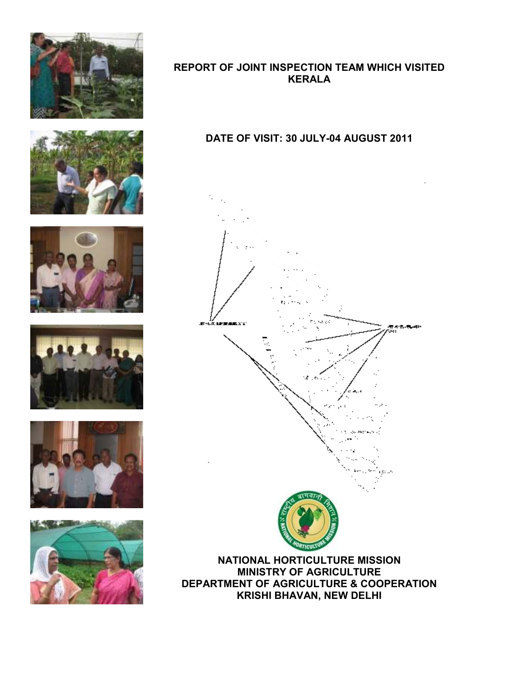











## REPORT OF JOINT INSPECTION TEAM WHICH VISITED KERALA

# DATE OF VISIT: 30 JULY-04 AUGUST 2011



MINISTRY OF AGRICULTURE DEPARTMENT OF AGRICULTURE & COOPERATION KRISHI BHAVAN, NEW DELHI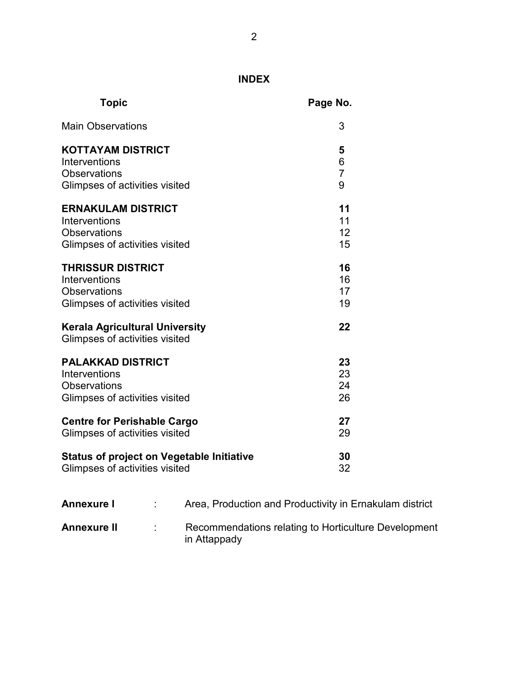# INDEX

| <b>Topic</b>                                                            | Page No.       |
|-------------------------------------------------------------------------|----------------|
| <b>Main Observations</b>                                                | 3              |
| <b>KOTTAYAM DISTRICT</b>                                                | 5              |
| Interventions                                                           | 6              |
| <b>Observations</b>                                                     | $\overline{7}$ |
| Glimpses of activities visited                                          | 9              |
| <b>ERNAKULAM DISTRICT</b>                                               | 11             |
| Interventions                                                           | 11             |
| <b>Observations</b>                                                     | 12             |
| Glimpses of activities visited                                          | 15             |
| <b>THRISSUR DISTRICT</b>                                                | 16             |
| Interventions                                                           | 16             |
| <b>Observations</b>                                                     | 17             |
| Glimpses of activities visited                                          | 19             |
| <b>Kerala Agricultural University</b><br>Glimpses of activities visited | 22             |
| <b>PALAKKAD DISTRICT</b>                                                | 23             |
| Interventions                                                           | 23             |
| <b>Observations</b>                                                     | 24             |
| Glimpses of activities visited                                          | 26             |
| <b>Centre for Perishable Cargo</b>                                      | 27             |
| Glimpses of activities visited                                          | 29             |
| <b>Status of project on Vegetable Initiative</b>                        | 30             |
| Glimpses of activities visited                                          | 32             |

| <b>Annexure I</b>  | Area, Production and Productivity in Ernakulam district              |
|--------------------|----------------------------------------------------------------------|
| <b>Annexure II</b> | Recommendations relating to Horticulture Development<br>in Attappady |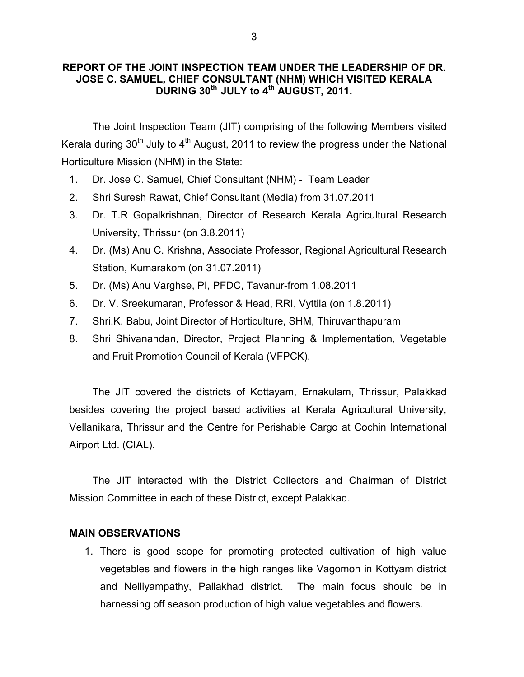### REPORT OF THE JOINT INSPECTION TEAM UNDER THE LEADERSHIP OF DR. JOSE C. SAMUEL, CHIEF CONSULTANT (NHM) WHICH VISITED KERALA DURING  $30^{th}$  JULY to  $4^{th}$  AUGUST, 2011.

 The Joint Inspection Team (JIT) comprising of the following Members visited Kerala during  $30<sup>th</sup>$  July to  $4<sup>th</sup>$  August, 2011 to review the progress under the National Horticulture Mission (NHM) in the State:

- 1. Dr. Jose C. Samuel, Chief Consultant (NHM) Team Leader
- 2. Shri Suresh Rawat, Chief Consultant (Media) from 31.07.2011
- 3. Dr. T.R Gopalkrishnan, Director of Research Kerala Agricultural Research University, Thrissur (on 3.8.2011)
- 4. Dr. (Ms) Anu C. Krishna, Associate Professor, Regional Agricultural Research Station, Kumarakom (on 31.07.2011)
- 5. Dr. (Ms) Anu Varghse, PI, PFDC, Tavanur-from 1.08.2011
- 6. Dr. V. Sreekumaran, Professor & Head, RRI, Vyttila (on 1.8.2011)
- 7. Shri.K. Babu, Joint Director of Horticulture, SHM, Thiruvanthapuram
- 8. Shri Shivanandan, Director, Project Planning & Implementation, Vegetable and Fruit Promotion Council of Kerala (VFPCK).

 The JIT covered the districts of Kottayam, Ernakulam, Thrissur, Palakkad besides covering the project based activities at Kerala Agricultural University, Vellanikara, Thrissur and the Centre for Perishable Cargo at Cochin International Airport Ltd. (CIAL).

 The JIT interacted with the District Collectors and Chairman of District Mission Committee in each of these District, except Palakkad.

### MAIN OBSERVATIONS

1. There is good scope for promoting protected cultivation of high value vegetables and flowers in the high ranges like Vagomon in Kottyam district and Nelliyampathy, Pallakhad district. The main focus should be in harnessing off season production of high value vegetables and flowers.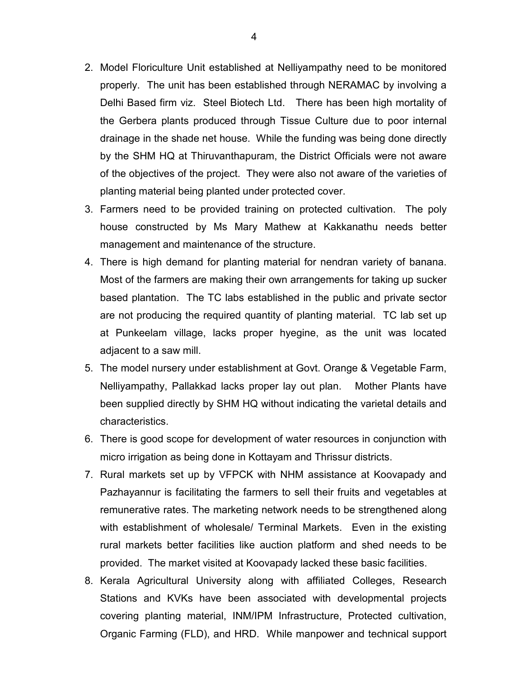- 2. Model Floriculture Unit established at Nelliyampathy need to be monitored properly. The unit has been established through NERAMAC by involving a Delhi Based firm viz. Steel Biotech Ltd. There has been high mortality of the Gerbera plants produced through Tissue Culture due to poor internal drainage in the shade net house. While the funding was being done directly by the SHM HQ at Thiruvanthapuram, the District Officials were not aware of the objectives of the project. They were also not aware of the varieties of planting material being planted under protected cover.
- 3. Farmers need to be provided training on protected cultivation. The poly house constructed by Ms Mary Mathew at Kakkanathu needs better management and maintenance of the structure.
- 4. There is high demand for planting material for nendran variety of banana. Most of the farmers are making their own arrangements for taking up sucker based plantation. The TC labs established in the public and private sector are not producing the required quantity of planting material. TC lab set up at Punkeelam village, lacks proper hyegine, as the unit was located adjacent to a saw mill.
- 5. The model nursery under establishment at Govt. Orange & Vegetable Farm, Nelliyampathy, Pallakkad lacks proper lay out plan. Mother Plants have been supplied directly by SHM HQ without indicating the varietal details and characteristics.
- 6. There is good scope for development of water resources in conjunction with micro irrigation as being done in Kottayam and Thrissur districts.
- 7. Rural markets set up by VFPCK with NHM assistance at Koovapady and Pazhayannur is facilitating the farmers to sell their fruits and vegetables at remunerative rates. The marketing network needs to be strengthened along with establishment of wholesale/ Terminal Markets. Even in the existing rural markets better facilities like auction platform and shed needs to be provided. The market visited at Koovapady lacked these basic facilities.
- 8. Kerala Agricultural University along with affiliated Colleges, Research Stations and KVKs have been associated with developmental projects covering planting material, INM/IPM Infrastructure, Protected cultivation, Organic Farming (FLD), and HRD. While manpower and technical support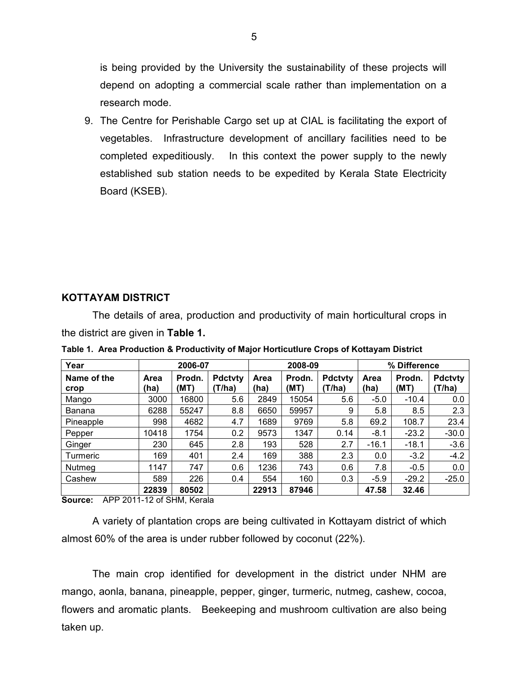is being provided by the University the sustainability of these projects will depend on adopting a commercial scale rather than implementation on a research mode.

9. The Centre for Perishable Cargo set up at CIAL is facilitating the export of vegetables. Infrastructure development of ancillary facilities need to be completed expeditiously. In this context the power supply to the newly established sub station needs to be expedited by Kerala State Electricity Board (KSEB).

### KOTTAYAM DISTRICT

The details of area, production and productivity of main horticultural crops in the district are given in Table 1.

| Year                | 2006-07      |                |                          | 2008-09      |                |                          | % Difference        |                |                          |
|---------------------|--------------|----------------|--------------------------|--------------|----------------|--------------------------|---------------------|----------------|--------------------------|
| Name of the<br>crop | Area<br>(ha) | Prodn.<br>(MT) | <b>Pdctvty</b><br>(T/ha) | Area<br>(ha) | Prodn.<br>(MT) | <b>Pdctvty</b><br>(T/ha) | <b>Area</b><br>(ha) | Prodn.<br>(MT) | <b>Pdctvty</b><br>(T/ha) |
| Mango               | 3000         | 16800          | 5.6                      | 2849         | 15054          | 5.6                      | $-5.0$              | $-10.4$        | 0.0                      |
| Banana              | 6288         | 55247          | 8.8                      | 6650         | 59957          | 9                        | 5.8                 | 8.5            | 2.3                      |
| Pineapple           | 998          | 4682           | 4.7                      | 1689         | 9769           | 5.8                      | 69.2                | 108.7          | 23.4                     |
| Pepper              | 10418        | 1754           | 0.2                      | 9573         | 1347           | 0.14                     | $-8.1$              | $-23.2$        | $-30.0$                  |
| Ginger              | 230          | 645            | 2.8                      | 193          | 528            | 2.7                      | $-16.1$             | $-18.1$        | $-3.6$                   |
| Turmeric            | 169          | 401            | 2.4                      | 169          | 388            | 2.3                      | 0.0                 | $-3.2$         | $-4.2$                   |
| Nutmeg              | 1147         | 747            | 0.6                      | 1236         | 743            | 0.6                      | 7.8                 | $-0.5$         | 0.0                      |
| Cashew              | 589          | 226            | 0.4                      | 554          | 160            | 0.3                      | $-5.9$              | $-29.2$        | $-25.0$                  |
|                     | 22839        | 80502          |                          | 22913        | 87946          |                          | 47.58               | 32.46          |                          |

Table 1. Area Production & Productivity of Major Horticutlure Crops of Kottayam District

Source: APP 2011-12 of SHM, Kerala

 A variety of plantation crops are being cultivated in Kottayam district of which almost 60% of the area is under rubber followed by coconut (22%).

 The main crop identified for development in the district under NHM are mango, aonla, banana, pineapple, pepper, ginger, turmeric, nutmeg, cashew, cocoa, flowers and aromatic plants. Beekeeping and mushroom cultivation are also being taken up.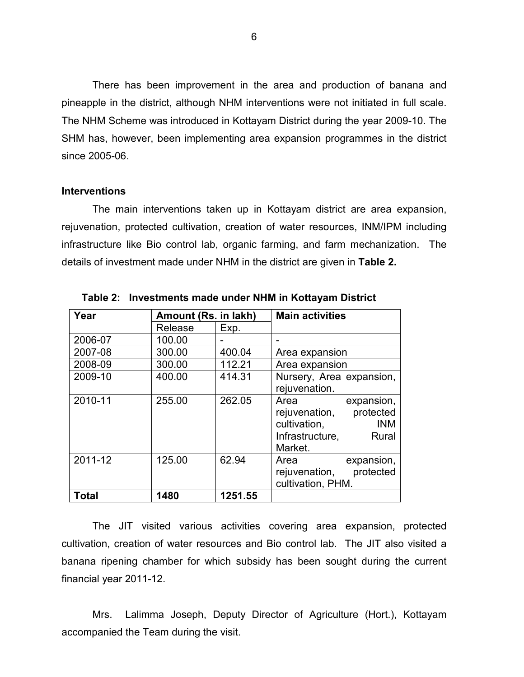There has been improvement in the area and production of banana and pineapple in the district, although NHM interventions were not initiated in full scale. The NHM Scheme was introduced in Kottayam District during the year 2009-10. The SHM has, however, been implementing area expansion programmes in the district since 2005-06.

#### Interventions

 The main interventions taken up in Kottayam district are area expansion, rejuvenation, protected cultivation, creation of water resources, INM/IPM including infrastructure like Bio control lab, organic farming, and farm mechanization. The details of investment made under NHM in the district are given in Table 2.

| Year    | Amount (Rs. in lakh) |         | <b>Main activities</b>                                                                                             |
|---------|----------------------|---------|--------------------------------------------------------------------------------------------------------------------|
|         | Release              | Exp.    |                                                                                                                    |
| 2006-07 | 100.00               |         |                                                                                                                    |
| 2007-08 | 300.00               | 400.04  | Area expansion                                                                                                     |
| 2008-09 | 300.00               | 112.21  | Area expansion                                                                                                     |
| 2009-10 | 400.00               | 414.31  | Nursery, Area expansion,<br>rejuvenation.                                                                          |
| 2010-11 | 255.00               | 262.05  | expansion,<br>Area<br>rejuvenation, protected<br>cultivation,<br><b>INM</b><br>Infrastructure,<br>Rural<br>Market. |
| 2011-12 | 125.00               | 62.94   | Area<br>expansion,<br>rejuvenation, protected<br>cultivation, PHM.                                                 |
| Total   | 1480                 | 1251.55 |                                                                                                                    |

Table 2: Investments made under NHM in Kottayam District

 The JIT visited various activities covering area expansion, protected cultivation, creation of water resources and Bio control lab. The JIT also visited a banana ripening chamber for which subsidy has been sought during the current financial year 2011-12.

 Mrs. Lalimma Joseph, Deputy Director of Agriculture (Hort.), Kottayam accompanied the Team during the visit.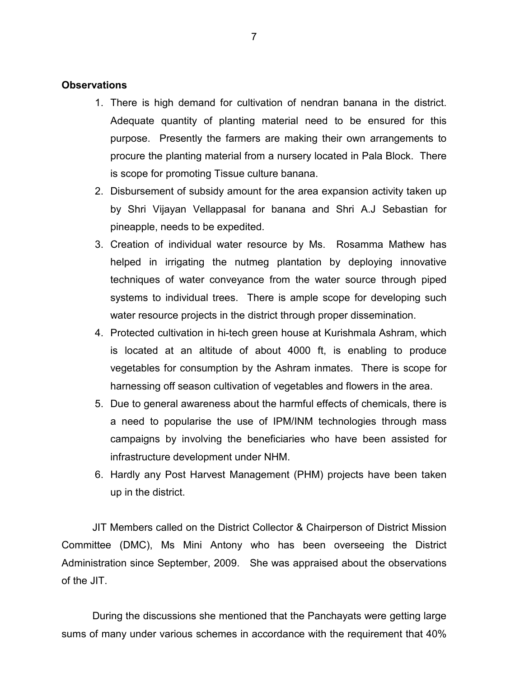#### **Observations**

- 1. There is high demand for cultivation of nendran banana in the district. Adequate quantity of planting material need to be ensured for this purpose. Presently the farmers are making their own arrangements to procure the planting material from a nursery located in Pala Block. There is scope for promoting Tissue culture banana.
- 2. Disbursement of subsidy amount for the area expansion activity taken up by Shri Vijayan Vellappasal for banana and Shri A.J Sebastian for pineapple, needs to be expedited.
- 3. Creation of individual water resource by Ms. Rosamma Mathew has helped in irrigating the nutmeg plantation by deploying innovative techniques of water conveyance from the water source through piped systems to individual trees. There is ample scope for developing such water resource projects in the district through proper dissemination.
- 4. Protected cultivation in hi-tech green house at Kurishmala Ashram, which is located at an altitude of about 4000 ft, is enabling to produce vegetables for consumption by the Ashram inmates. There is scope for harnessing off season cultivation of vegetables and flowers in the area.
- 5. Due to general awareness about the harmful effects of chemicals, there is a need to popularise the use of IPM/INM technologies through mass campaigns by involving the beneficiaries who have been assisted for infrastructure development under NHM.
- 6. Hardly any Post Harvest Management (PHM) projects have been taken up in the district.

 JIT Members called on the District Collector & Chairperson of District Mission Committee (DMC), Ms Mini Antony who has been overseeing the District Administration since September, 2009. She was appraised about the observations of the JIT.

 During the discussions she mentioned that the Panchayats were getting large sums of many under various schemes in accordance with the requirement that 40%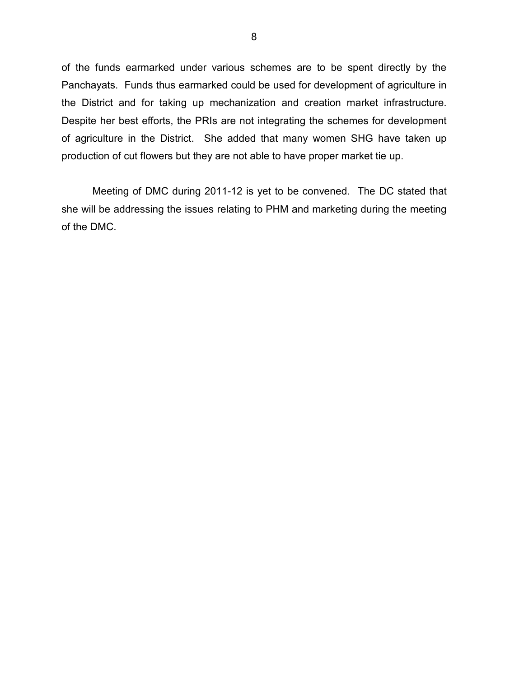of the funds earmarked under various schemes are to be spent directly by the Panchayats. Funds thus earmarked could be used for development of agriculture in the District and for taking up mechanization and creation market infrastructure. Despite her best efforts, the PRIs are not integrating the schemes for development of agriculture in the District. She added that many women SHG have taken up production of cut flowers but they are not able to have proper market tie up.

 Meeting of DMC during 2011-12 is yet to be convened. The DC stated that she will be addressing the issues relating to PHM and marketing during the meeting of the DMC.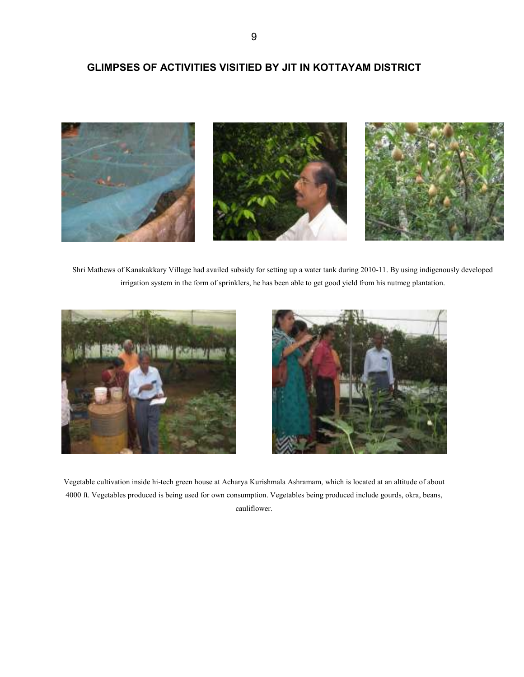### GLIMPSES OF ACTIVITIES VISITIED BY JIT IN KOTTAYAM DISTRICT



Shri Mathews of Kanakakkary Village had availed subsidy for setting up a water tank during 2010-11. By using indigenously developed irrigation system in the form of sprinklers, he has been able to get good yield from his nutmeg plantation.





Vegetable cultivation inside hi-tech green house at Acharya Kurishmala Ashramam, which is located at an altitude of about 4000 ft. Vegetables produced is being used for own consumption. Vegetables being produced include gourds, okra, beans, cauliflower.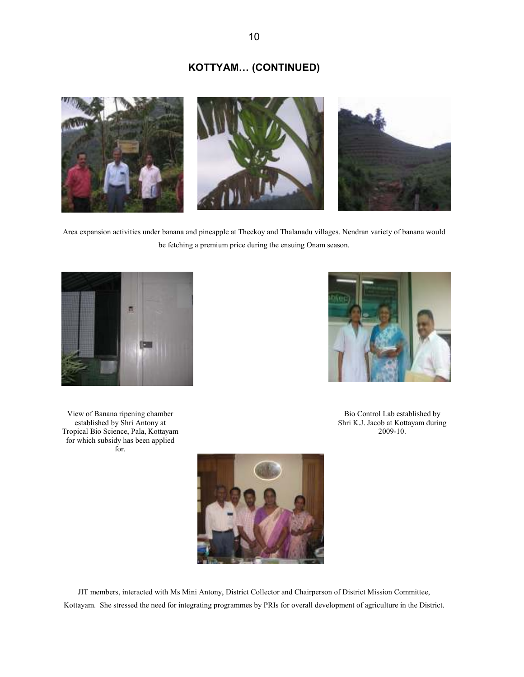## KOTTYAM… (CONTINUED)



Area expansion activities under banana and pineapple at Theekoy and Thalanadu villages. Nendran variety of banana would be fetching a premium price during the ensuing Onam season.



View of Banana ripening chamber established by Shri Antony at Tropical Bio Science, Pala, Kottayam for which subsidy has been applied for.



Bio Control Lab established by Shri K.J. Jacob at Kottayam during 2009-10.



JIT members, interacted with Ms Mini Antony, District Collector and Chairperson of District Mission Committee, Kottayam. She stressed the need for integrating programmes by PRIs for overall development of agriculture in the District.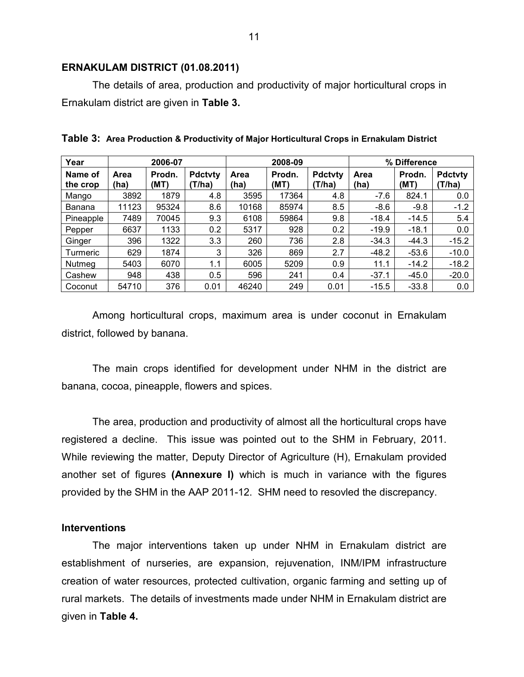#### ERNAKULAM DISTRICT (01.08.2011)

The details of area, production and productivity of major horticultural crops in Ernakulam district are given in Table 3.

| Year                | 2006-07      |                |                         | 2008-09      |                |                          | % Difference |                |                          |
|---------------------|--------------|----------------|-------------------------|--------------|----------------|--------------------------|--------------|----------------|--------------------------|
| Name of<br>the crop | Area<br>(ha) | Prodn.<br>(MT) | <b>Pdctvty</b><br>T/ha) | Area<br>(ha) | Prodn.<br>(MT) | <b>Pdctvty</b><br>(T/ha) | Area<br>(ha) | Prodn.<br>(MT) | <b>Pdctvty</b><br>(T/ha) |
| Mango               | 3892         | 1879           | 4.8                     | 3595         | 17364          | 4.8                      | $-7.6$       | 824.1          | 0.0                      |
| Banana              | 11123        | 95324          | 8.6                     | 10168        | 85974          | 8.5                      | $-8.6$       | $-9.8$         | $-1.2$                   |
| Pineapple           | 7489         | 70045          | 9.3                     | 6108         | 59864          | 9.8                      | $-18.4$      | $-14.5$        | 5.4                      |
| Pepper              | 6637         | 1133           | 0.2                     | 5317         | 928            | 0.2                      | $-19.9$      | $-18.1$        | 0.0                      |
| Ginger              | 396          | 1322           | 3.3                     | 260          | 736            | 2.8                      | $-34.3$      | $-44.3$        | $-15.2$                  |
| Turmeric            | 629          | 1874           | 3                       | 326          | 869            | 2.7                      | $-48.2$      | $-53.6$        | $-10.0$                  |
| Nutmeg              | 5403         | 6070           | 1.1                     | 6005         | 5209           | 0.9                      | 11.1         | $-14.2$        | $-18.2$                  |
| Cashew              | 948          | 438            | 0.5                     | 596          | 241            | 0.4                      | $-37.1$      | $-45.0$        | $-20.0$                  |
| Coconut             | 54710        | 376            | 0.01                    | 46240        | 249            | 0.01                     | $-15.5$      | $-33.8$        | 0.0                      |

Table 3: Area Production & Productivity of Major Horticultural Crops in Ernakulam District

Among horticultural crops, maximum area is under coconut in Ernakulam district, followed by banana.

 The main crops identified for development under NHM in the district are banana, cocoa, pineapple, flowers and spices.

 The area, production and productivity of almost all the horticultural crops have registered a decline. This issue was pointed out to the SHM in February, 2011. While reviewing the matter, Deputy Director of Agriculture (H), Ernakulam provided another set of figures (Annexure I) which is much in variance with the figures provided by the SHM in the AAP 2011-12. SHM need to resovled the discrepancy.

### **Interventions**

 The major interventions taken up under NHM in Ernakulam district are establishment of nurseries, are expansion, rejuvenation, INM/IPM infrastructure creation of water resources, protected cultivation, organic farming and setting up of rural markets. The details of investments made under NHM in Ernakulam district are given in Table 4.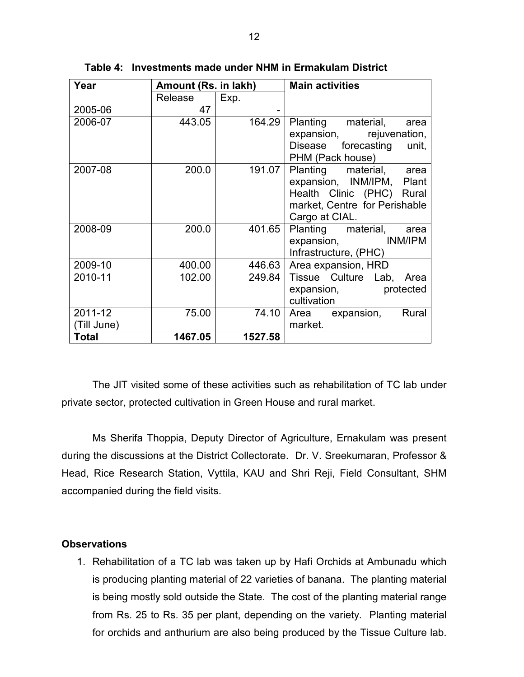| Year        | Amount (Rs. in lakh) |         | <b>Main activities</b>        |  |  |
|-------------|----------------------|---------|-------------------------------|--|--|
|             | Release              | Exp.    |                               |  |  |
| 2005-06     | 47                   |         |                               |  |  |
| 2006-07     | 443.05               | 164.29  | Planting material, area       |  |  |
|             |                      |         | expansion, rejuvenation,      |  |  |
|             |                      |         | Disease forecasting unit,     |  |  |
|             |                      |         | PHM (Pack house)              |  |  |
| 2007-08     | 200.0                | 191.07  | Planting material, area       |  |  |
|             |                      |         | expansion, INM/IPM, Plant     |  |  |
|             |                      |         | Health Clinic (PHC) Rural     |  |  |
|             |                      |         | market, Centre for Perishable |  |  |
|             |                      |         | Cargo at CIAL.                |  |  |
| 2008-09     | 200.0                | 401.65  | Planting material, area       |  |  |
|             |                      |         | expansion, INM/IPM            |  |  |
|             |                      |         | Infrastructure, (PHC)         |  |  |
| 2009-10     | 400.00               | 446.63  | Area expansion, HRD           |  |  |
| 2010-11     | 102.00               | 249.84  | Tissue Culture Lab, Area      |  |  |
|             |                      |         | expansion, protected          |  |  |
|             |                      |         | cultivation                   |  |  |
| 2011-12     | 75.00                | 74.10   | Rural<br>Area expansion,      |  |  |
| (Till June) |                      |         | market.                       |  |  |
| Total       | 1467.05              | 1527.58 |                               |  |  |

Table 4: Investments made under NHM in Ermakulam District

 The JIT visited some of these activities such as rehabilitation of TC lab under private sector, protected cultivation in Green House and rural market.

 Ms Sherifa Thoppia, Deputy Director of Agriculture, Ernakulam was present during the discussions at the District Collectorate. Dr. V. Sreekumaran, Professor & Head, Rice Research Station, Vyttila, KAU and Shri Reji, Field Consultant, SHM accompanied during the field visits.

### **Observations**

1. Rehabilitation of a TC lab was taken up by Hafi Orchids at Ambunadu which is producing planting material of 22 varieties of banana. The planting material is being mostly sold outside the State. The cost of the planting material range from Rs. 25 to Rs. 35 per plant, depending on the variety. Planting material for orchids and anthurium are also being produced by the Tissue Culture lab.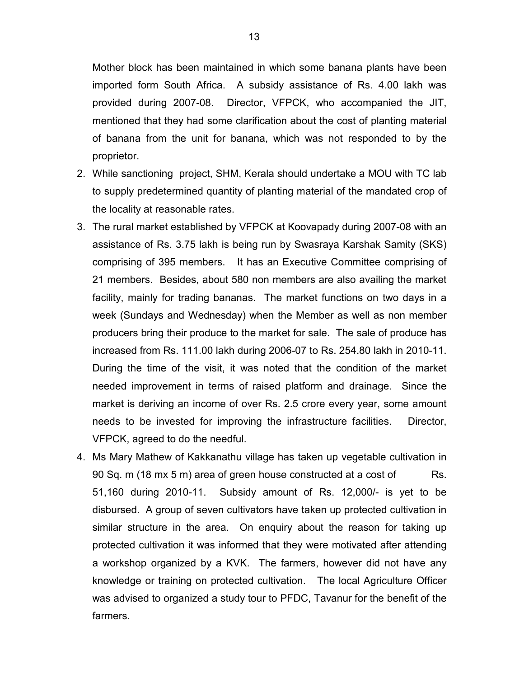Mother block has been maintained in which some banana plants have been imported form South Africa. A subsidy assistance of Rs. 4.00 lakh was provided during 2007-08. Director, VFPCK, who accompanied the JIT, mentioned that they had some clarification about the cost of planting material of banana from the unit for banana, which was not responded to by the proprietor.

- 2. While sanctioning project, SHM, Kerala should undertake a MOU with TC lab to supply predetermined quantity of planting material of the mandated crop of the locality at reasonable rates.
- 3. The rural market established by VFPCK at Koovapady during 2007-08 with an assistance of Rs. 3.75 lakh is being run by Swasraya Karshak Samity (SKS) comprising of 395 members. It has an Executive Committee comprising of 21 members. Besides, about 580 non members are also availing the market facility, mainly for trading bananas. The market functions on two days in a week (Sundays and Wednesday) when the Member as well as non member producers bring their produce to the market for sale. The sale of produce has increased from Rs. 111.00 lakh during 2006-07 to Rs. 254.80 lakh in 2010-11. During the time of the visit, it was noted that the condition of the market needed improvement in terms of raised platform and drainage. Since the market is deriving an income of over Rs. 2.5 crore every year, some amount needs to be invested for improving the infrastructure facilities. Director, VFPCK, agreed to do the needful.
- 4. Ms Mary Mathew of Kakkanathu village has taken up vegetable cultivation in 90 Sq. m (18 mx 5 m) area of green house constructed at a cost of Rs. 51,160 during 2010-11. Subsidy amount of Rs. 12,000/- is yet to be disbursed. A group of seven cultivators have taken up protected cultivation in similar structure in the area. On enquiry about the reason for taking up protected cultivation it was informed that they were motivated after attending a workshop organized by a KVK. The farmers, however did not have any knowledge or training on protected cultivation. The local Agriculture Officer was advised to organized a study tour to PFDC, Tavanur for the benefit of the farmers.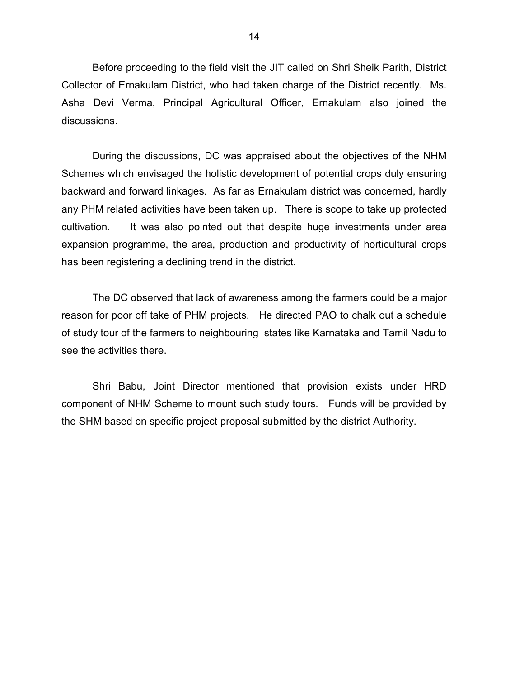Before proceeding to the field visit the JIT called on Shri Sheik Parith, District Collector of Ernakulam District, who had taken charge of the District recently. Ms. Asha Devi Verma, Principal Agricultural Officer, Ernakulam also joined the discussions.

 During the discussions, DC was appraised about the objectives of the NHM Schemes which envisaged the holistic development of potential crops duly ensuring backward and forward linkages. As far as Ernakulam district was concerned, hardly any PHM related activities have been taken up. There is scope to take up protected cultivation. It was also pointed out that despite huge investments under area expansion programme, the area, production and productivity of horticultural crops has been registering a declining trend in the district.

 The DC observed that lack of awareness among the farmers could be a major reason for poor off take of PHM projects. He directed PAO to chalk out a schedule of study tour of the farmers to neighbouring states like Karnataka and Tamil Nadu to see the activities there.

 Shri Babu, Joint Director mentioned that provision exists under HRD component of NHM Scheme to mount such study tours. Funds will be provided by the SHM based on specific project proposal submitted by the district Authority.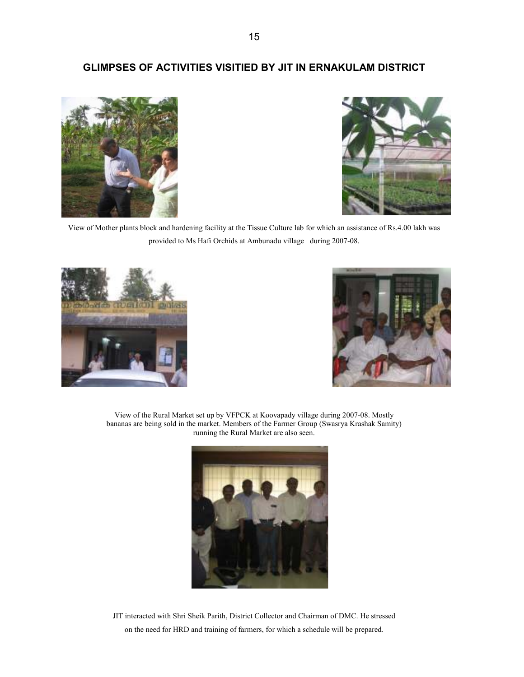### GLIMPSES OF ACTIVITIES VISITIED BY JIT IN ERNAKULAM DISTRICT





View of Mother plants block and hardening facility at the Tissue Culture lab for which an assistance of Rs.4.00 lakh was provided to Ms Hafi Orchids at Ambunadu village during 2007-08.





View of the Rural Market set up by VFPCK at Koovapady village during 2007-08. Mostly bananas are being sold in the market. Members of the Farmer Group (Swasrya Krashak Samity) running the Rural Market are also seen.



JIT interacted with Shri Sheik Parith, District Collector and Chairman of DMC. He stressed on the need for HRD and training of farmers, for which a schedule will be prepared.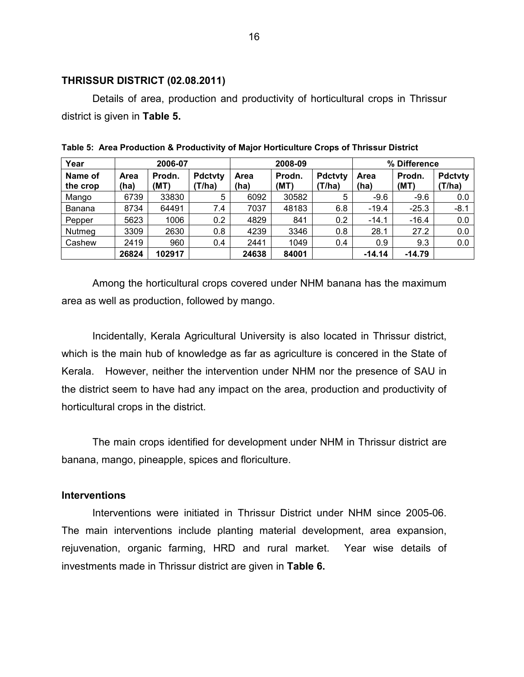#### THRISSUR DISTRICT (02.08.2011)

 Details of area, production and productivity of horticultural crops in Thrissur district is given in Table 5.

| Year                | 2006-07      |                |                         | 2008-09      |                |                          | % Difference |                |                          |
|---------------------|--------------|----------------|-------------------------|--------------|----------------|--------------------------|--------------|----------------|--------------------------|
| Name of<br>the crop | Area<br>(ha) | Prodn.<br>(MT) | <b>Pdctvty</b><br>T/ha) | Area<br>(ha) | Prodn.<br>(MT) | <b>Pdctvty</b><br>(T/ha) | Area<br>(ha) | Prodn.<br>(MT) | <b>Pdctvty</b><br>(T/ha) |
| Mango               | 6739         | 33830          | 5                       | 6092         | 30582          | 5                        | $-9.6$       | $-9.6$         | 0.0                      |
| Banana              | 8734         | 64491          | 7.4                     | 7037         | 48183          | 6.8                      | $-19.4$      | $-25.3$        | $-8.1$                   |
| Pepper              | 5623         | 1006           | 0.2                     | 4829         | 841            | 0.2                      | $-14.1$      | $-16.4$        | 0.0                      |
| Nutmeg              | 3309         | 2630           | 0.8                     | 4239         | 3346           | 0.8                      | 28.1         | 27.2           | 0.0                      |
| Cashew              | 2419         | 960            | 0.4                     | 2441         | 1049           | 0.4                      | 0.9          | 9.3            | 0.0                      |
|                     | 26824        | 102917         |                         | 24638        | 84001          |                          | $-14.14$     | $-14.79$       |                          |

Table 5: Area Production & Productivity of Major Horticulture Crops of Thrissur District

 Among the horticultural crops covered under NHM banana has the maximum area as well as production, followed by mango.

 Incidentally, Kerala Agricultural University is also located in Thrissur district, which is the main hub of knowledge as far as agriculture is concered in the State of Kerala. However, neither the intervention under NHM nor the presence of SAU in the district seem to have had any impact on the area, production and productivity of horticultural crops in the district.

 The main crops identified for development under NHM in Thrissur district are banana, mango, pineapple, spices and floriculture.

### Interventions

 Interventions were initiated in Thrissur District under NHM since 2005-06. The main interventions include planting material development, area expansion, rejuvenation, organic farming, HRD and rural market. Year wise details of investments made in Thrissur district are given in Table 6.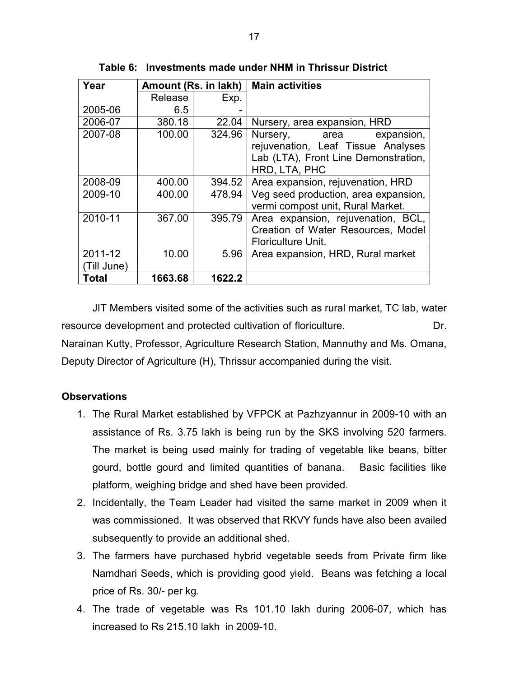| Year        | Amount (Rs. in lakh) |        | <b>Main activities</b>               |
|-------------|----------------------|--------|--------------------------------------|
|             | Release              | Exp.   |                                      |
| 2005-06     | 6.5                  |        |                                      |
| 2006-07     | 380.18               | 22.04  | Nursery, area expansion, HRD         |
| 2007-08     | 100.00               | 324.96 | Nursery, area<br>expansion,          |
|             |                      |        | rejuvenation, Leaf Tissue Analyses   |
|             |                      |        | Lab (LTA), Front Line Demonstration, |
|             |                      |        | HRD, LTA, PHC                        |
| 2008-09     | 400.00               | 394.52 | Area expansion, rejuvenation, HRD    |
| 2009-10     | 400.00               | 478.94 | Veg seed production, area expansion, |
|             |                      |        | vermi compost unit, Rural Market.    |
| 2010-11     | 367.00               | 395.79 | Area expansion, rejuvenation, BCL,   |
|             |                      |        | Creation of Water Resources, Model   |
|             |                      |        | Floriculture Unit.                   |
| 2011-12     | 10.00                | 5.96   | Area expansion, HRD, Rural market    |
| (Till June) |                      |        |                                      |
| Total       | 1663.68              | 1622.2 |                                      |

Table 6: Investments made under NHM in Thrissur District

 JIT Members visited some of the activities such as rural market, TC lab, water resource development and protected cultivation of floriculture. Dr. Narainan Kutty, Professor, Agriculture Research Station, Mannuthy and Ms. Omana, Deputy Director of Agriculture (H), Thrissur accompanied during the visit.

### **Observations**

- 1. The Rural Market established by VFPCK at Pazhzyannur in 2009-10 with an assistance of Rs. 3.75 lakh is being run by the SKS involving 520 farmers. The market is being used mainly for trading of vegetable like beans, bitter gourd, bottle gourd and limited quantities of banana. Basic facilities like platform, weighing bridge and shed have been provided.
- 2. Incidentally, the Team Leader had visited the same market in 2009 when it was commissioned. It was observed that RKVY funds have also been availed subsequently to provide an additional shed.
- 3. The farmers have purchased hybrid vegetable seeds from Private firm like Namdhari Seeds, which is providing good yield. Beans was fetching a local price of Rs. 30/- per kg.
- 4. The trade of vegetable was Rs 101.10 lakh during 2006-07, which has increased to Rs 215.10 lakh in 2009-10.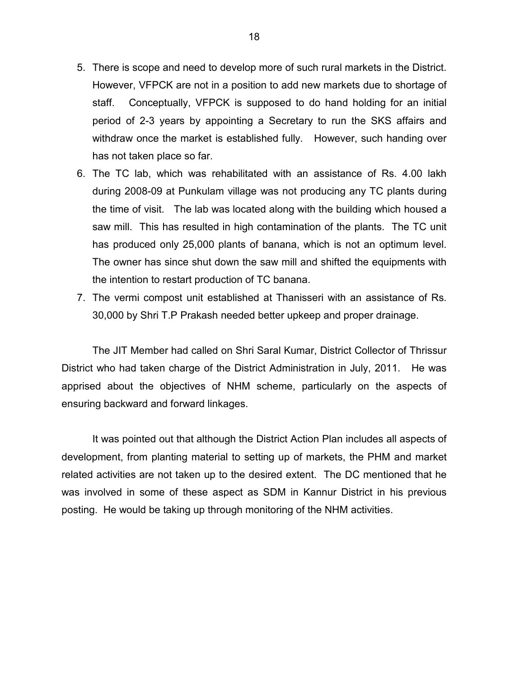- 5. There is scope and need to develop more of such rural markets in the District. However, VFPCK are not in a position to add new markets due to shortage of staff. Conceptually, VFPCK is supposed to do hand holding for an initial period of 2-3 years by appointing a Secretary to run the SKS affairs and withdraw once the market is established fully. However, such handing over has not taken place so far.
- 6. The TC lab, which was rehabilitated with an assistance of Rs. 4.00 lakh during 2008-09 at Punkulam village was not producing any TC plants during the time of visit. The lab was located along with the building which housed a saw mill. This has resulted in high contamination of the plants. The TC unit has produced only 25,000 plants of banana, which is not an optimum level. The owner has since shut down the saw mill and shifted the equipments with the intention to restart production of TC banana.
- 7. The vermi compost unit established at Thanisseri with an assistance of Rs. 30,000 by Shri T.P Prakash needed better upkeep and proper drainage.

 The JIT Member had called on Shri Saral Kumar, District Collector of Thrissur District who had taken charge of the District Administration in July, 2011. He was apprised about the objectives of NHM scheme, particularly on the aspects of ensuring backward and forward linkages.

 It was pointed out that although the District Action Plan includes all aspects of development, from planting material to setting up of markets, the PHM and market related activities are not taken up to the desired extent. The DC mentioned that he was involved in some of these aspect as SDM in Kannur District in his previous posting. He would be taking up through monitoring of the NHM activities.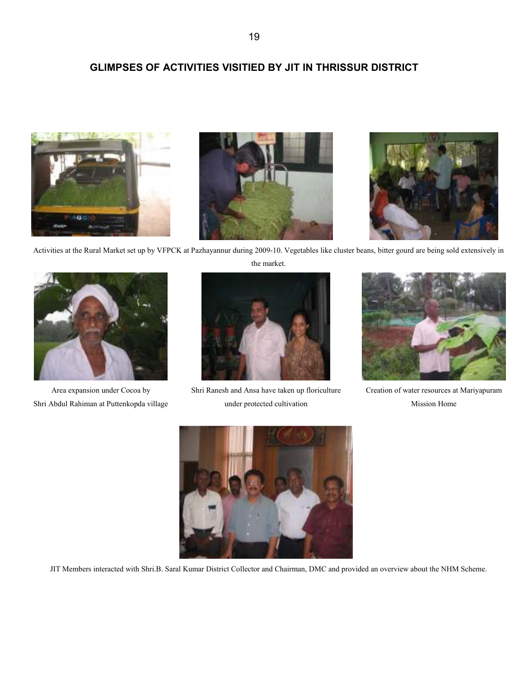# GLIMPSES OF ACTIVITIES VISITIED BY JIT IN THRISSUR DISTRICT







Activities at the Rural Market set up by VFPCK at Pazhayannur during 2009-10. Vegetables like cluster beans, bitter gourd are being sold extensively in the market.



Area expansion under Cocoa by Shri Abdul Rahiman at Puttenkopda village



 Shri Ranesh and Ansa have taken up floriculture under protected cultivation



 Creation of water resources at Mariyapuram Mission Home



JIT Members interacted with Shri.B. Saral Kumar District Collector and Chairman, DMC and provided an overview about the NHM Scheme.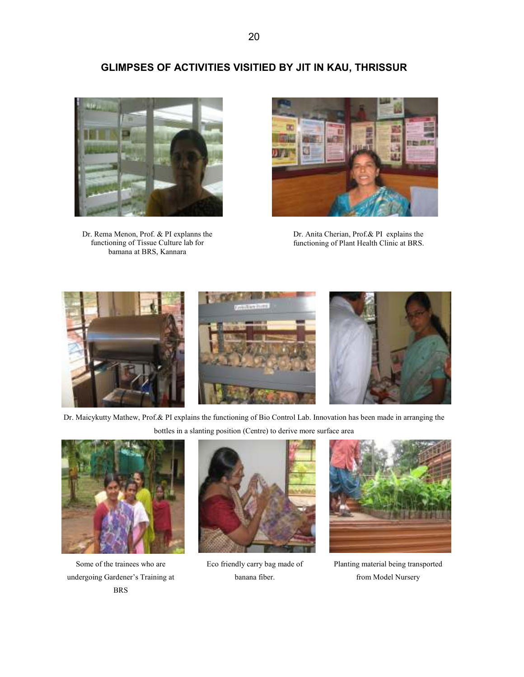20

## GLIMPSES OF ACTIVITIES VISITIED BY JIT IN KAU, THRISSUR



Dr. Rema Menon, Prof. & PI explanns the functioning of Tissue Culture lab for bamana at BRS, Kannara



Dr. Anita Cherian, Prof.& PI explains the functioning of Plant Health Clinic at BRS.



Dr. Maicykutty Mathew, Prof.& PI explains the functioning of Bio Control Lab. Innovation has been made in arranging the bottles in a slanting position (Centre) to derive more surface area



Some of the trainees who are undergoing Gardener's Training at BRS



 Eco friendly carry bag made of banana fiber.



 Planting material being transported from Model Nursery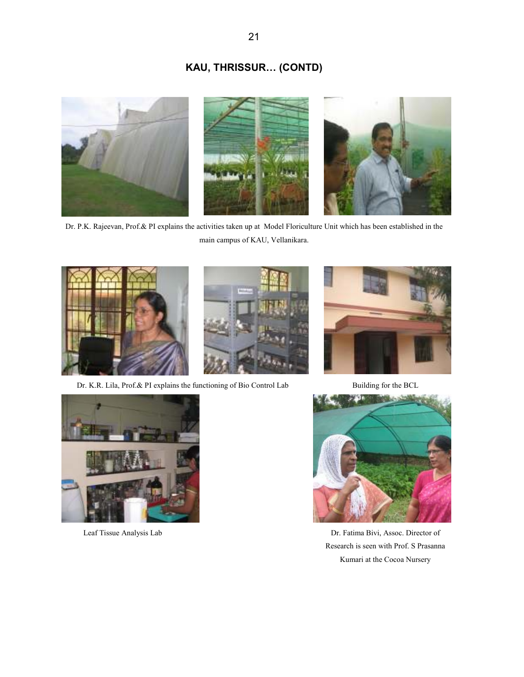# KAU, THRISSUR… (CONTD)



Dr. P.K. Rajeevan, Prof.& PI explains the activities taken up at Model Floriculture Unit which has been established in the main campus of KAU, Vellanikara.



Dr. K.R. Lila, Prof.& PI explains the functioning of Bio Control Lab Building for the BCL







Leaf Tissue Analysis Lab Dr. Fatima Bivi, Assoc. Director of Research is seen with Prof. S Prasanna Kumari at the Cocoa Nursery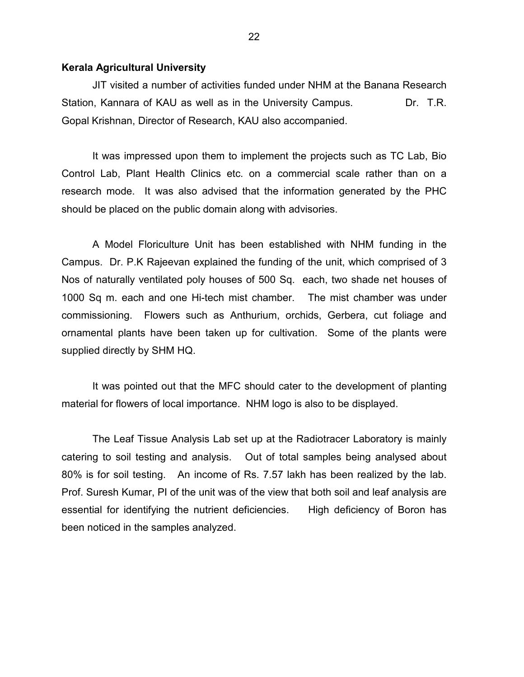#### Kerala Agricultural University

 JIT visited a number of activities funded under NHM at the Banana Research Station, Kannara of KAU as well as in the University Campus. DIC. T.R. Gopal Krishnan, Director of Research, KAU also accompanied.

 It was impressed upon them to implement the projects such as TC Lab, Bio Control Lab, Plant Health Clinics etc. on a commercial scale rather than on a research mode. It was also advised that the information generated by the PHC should be placed on the public domain along with advisories.

 A Model Floriculture Unit has been established with NHM funding in the Campus. Dr. P.K Rajeevan explained the funding of the unit, which comprised of 3 Nos of naturally ventilated poly houses of 500 Sq. each, two shade net houses of 1000 Sq m. each and one Hi-tech mist chamber. The mist chamber was under commissioning. Flowers such as Anthurium, orchids, Gerbera, cut foliage and ornamental plants have been taken up for cultivation. Some of the plants were supplied directly by SHM HQ.

 It was pointed out that the MFC should cater to the development of planting material for flowers of local importance. NHM logo is also to be displayed.

 The Leaf Tissue Analysis Lab set up at the Radiotracer Laboratory is mainly catering to soil testing and analysis. Out of total samples being analysed about 80% is for soil testing. An income of Rs. 7.57 lakh has been realized by the lab. Prof. Suresh Kumar, PI of the unit was of the view that both soil and leaf analysis are essential for identifying the nutrient deficiencies. High deficiency of Boron has been noticed in the samples analyzed.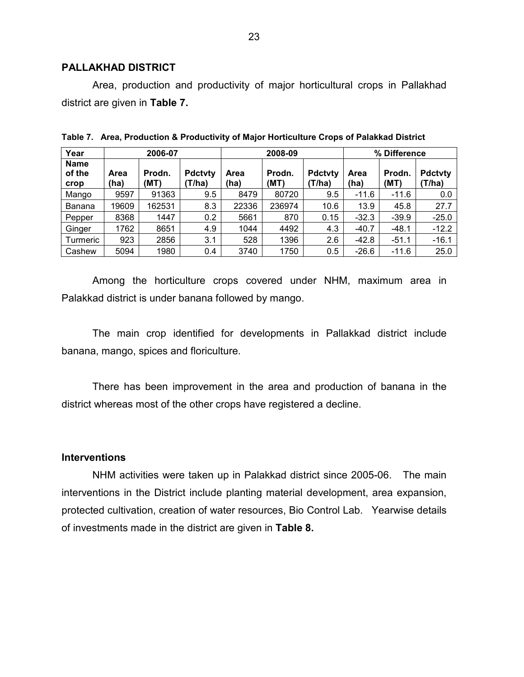### PALLAKHAD DISTRICT

Area, production and productivity of major horticultural crops in Pallakhad district are given in Table 7.

| Year                          | 2006-07      |                |                          | 2008-09      |                |                          | % Difference |                |                         |
|-------------------------------|--------------|----------------|--------------------------|--------------|----------------|--------------------------|--------------|----------------|-------------------------|
| <b>Name</b><br>of the<br>crop | Area<br>(ha) | Prodn.<br>(MT) | <b>Pdctvty</b><br>(T/ha) | Area<br>(ha) | Prodn.<br>(MT) | <b>Pdctvty</b><br>(T/ha) | Area<br>(ha) | Prodn.<br>(MT) | <b>Pdctvty</b><br>T/ha) |
| Mango                         | 9597         | 91363          | 9.5                      | 8479         | 80720          | 9.5                      | $-11.6$      | $-11.6$        | 0.0                     |
| Banana                        | 19609        | 162531         | 8.3                      | 22336        | 236974         | 10.6                     | 13.9         | 45.8           | 27.7                    |
| Pepper                        | 8368         | 1447           | 0.2                      | 5661         | 870            | 0.15                     | $-32.3$      | $-39.9$        | $-25.0$                 |
| Ginger                        | 1762         | 8651           | 4.9                      | 1044         | 4492           | 4.3                      | $-40.7$      | $-48.1$        | $-12.2$                 |
| Turmeric                      | 923          | 2856           | 3.1                      | 528          | 1396           | 2.6                      | $-42.8$      | $-51.1$        | $-16.1$                 |
| Cashew                        | 5094         | 1980           | 0.4                      | 3740         | 1750           | 0.5                      | $-26.6$      | $-11.6$        | 25.0                    |

Table 7. Area, Production & Productivity of Major Horticulture Crops of Palakkad District

 Among the horticulture crops covered under NHM, maximum area in Palakkad district is under banana followed by mango.

 The main crop identified for developments in Pallakkad district include banana, mango, spices and floriculture.

 There has been improvement in the area and production of banana in the district whereas most of the other crops have registered a decline.

### **Interventions**

 NHM activities were taken up in Palakkad district since 2005-06. The main interventions in the District include planting material development, area expansion, protected cultivation, creation of water resources, Bio Control Lab. Yearwise details of investments made in the district are given in Table 8.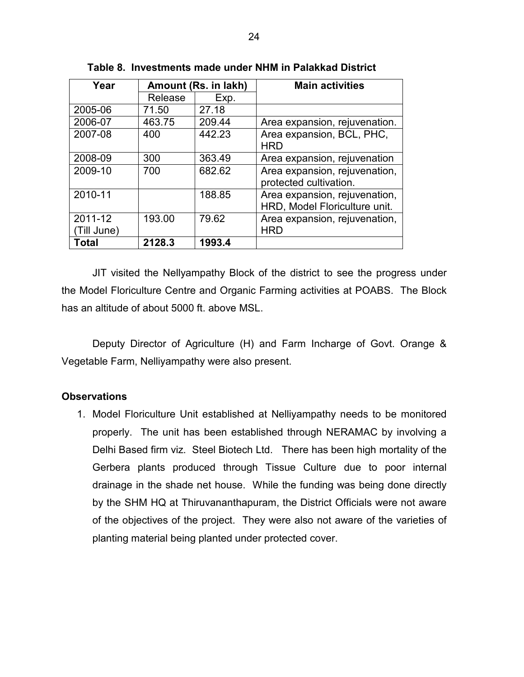| Year        | Amount (Rs. in lakh) |        | <b>Main activities</b>        |
|-------------|----------------------|--------|-------------------------------|
|             | Release              | Exp.   |                               |
| 2005-06     | 71.50                | 27.18  |                               |
| 2006-07     | 463.75               | 209.44 | Area expansion, rejuvenation. |
| 2007-08     | 400                  | 442.23 | Area expansion, BCL, PHC,     |
|             |                      |        | <b>HRD</b>                    |
| 2008-09     | 300                  | 363.49 | Area expansion, rejuvenation  |
| 2009-10     | 700                  | 682.62 | Area expansion, rejuvenation, |
|             |                      |        | protected cultivation.        |
| 2010-11     |                      | 188.85 | Area expansion, rejuvenation, |
|             |                      |        | HRD, Model Floriculture unit. |
| 2011-12     | 193.00               | 79.62  | Area expansion, rejuvenation, |
| (Till June) |                      |        | <b>HRD</b>                    |
| Total       | 2128.3               | 1993.4 |                               |

Table 8. Investments made under NHM in Palakkad District

 JIT visited the Nellyampathy Block of the district to see the progress under the Model Floriculture Centre and Organic Farming activities at POABS. The Block has an altitude of about 5000 ft. above MSL.

 Deputy Director of Agriculture (H) and Farm Incharge of Govt. Orange & Vegetable Farm, Nelliyampathy were also present.

### **Observations**

1. Model Floriculture Unit established at Nelliyampathy needs to be monitored properly. The unit has been established through NERAMAC by involving a Delhi Based firm viz. Steel Biotech Ltd. There has been high mortality of the Gerbera plants produced through Tissue Culture due to poor internal drainage in the shade net house. While the funding was being done directly by the SHM HQ at Thiruvananthapuram, the District Officials were not aware of the objectives of the project. They were also not aware of the varieties of planting material being planted under protected cover.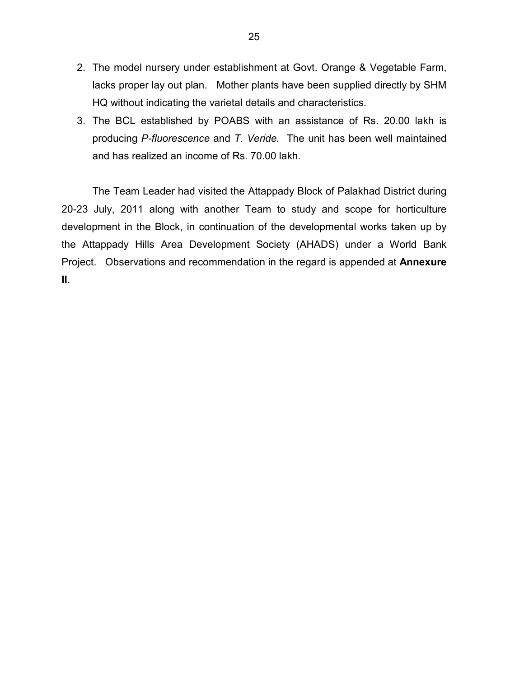- 2. The model nursery under establishment at Govt. Orange & Vegetable Farm, lacks proper lay out plan. Mother plants have been supplied directly by SHM HQ without indicating the varietal details and characteristics.
- 3. The BCL established by POABS with an assistance of Rs. 20.00 lakh is producing P-fluorescence and T. Veride. The unit has been well maintained and has realized an income of Rs. 70.00 lakh.

 The Team Leader had visited the Attappady Block of Palakhad District during 20-23 July, 2011 along with another Team to study and scope for horticulture development in the Block, in continuation of the developmental works taken up by the Attappady Hills Area Development Society (AHADS) under a World Bank Project. Observations and recommendation in the regard is appended at Annexure II.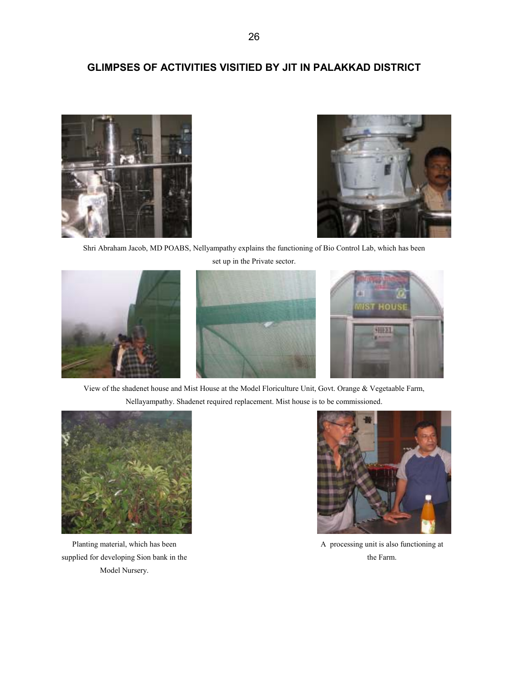## GLIMPSES OF ACTIVITIES VISITIED BY JIT IN PALAKKAD DISTRICT





Shri Abraham Jacob, MD POABS, Nellyampathy explains the functioning of Bio Control Lab, which has been



set up in the Private sector.





View of the shadenet house and Mist House at the Model Floriculture Unit, Govt. Orange & Vegetaable Farm, Nellayampathy. Shadenet required replacement. Mist house is to be commissioned.



Planting material, which has been supplied for developing Sion bank in the Model Nursery.



A processing unit is also functioning at the Farm.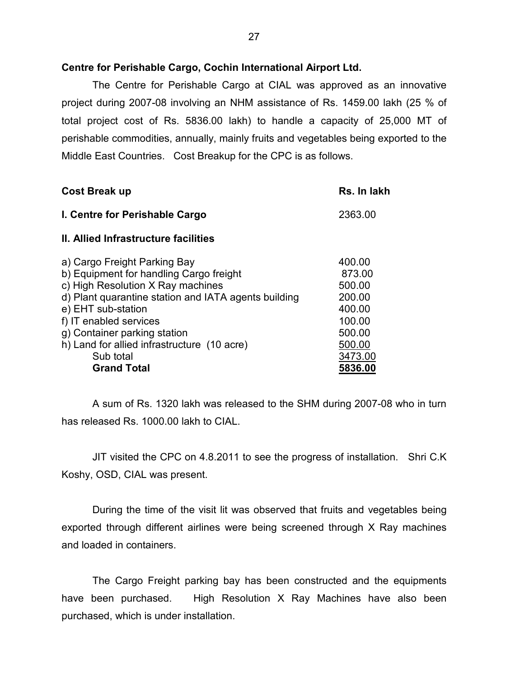### Centre for Perishable Cargo, Cochin International Airport Ltd.

 The Centre for Perishable Cargo at CIAL was approved as an innovative project during 2007-08 involving an NHM assistance of Rs. 1459.00 lakh (25 % of total project cost of Rs. 5836.00 lakh) to handle a capacity of 25,000 MT of perishable commodities, annually, mainly fruits and vegetables being exported to the Middle East Countries. Cost Breakup for the CPC is as follows.

| <b>Cost Break up</b>                                                                                                                                                                                                                                                                                                                   | Rs. In lakh                                                                                        |
|----------------------------------------------------------------------------------------------------------------------------------------------------------------------------------------------------------------------------------------------------------------------------------------------------------------------------------------|----------------------------------------------------------------------------------------------------|
| I. Centre for Perishable Cargo                                                                                                                                                                                                                                                                                                         | 2363.00                                                                                            |
| <b>II. Allied Infrastructure facilities</b>                                                                                                                                                                                                                                                                                            |                                                                                                    |
| a) Cargo Freight Parking Bay<br>b) Equipment for handling Cargo freight<br>c) High Resolution X Ray machines<br>d) Plant quarantine station and IATA agents building<br>e) EHT sub-station<br>f) IT enabled services<br>g) Container parking station<br>h) Land for allied infrastructure (10 acre)<br>Sub total<br><b>Grand Total</b> | 400.00<br>873.00<br>500.00<br>200.00<br>400.00<br>100.00<br>500.00<br>500.00<br>3473.00<br>5836.00 |

 A sum of Rs. 1320 lakh was released to the SHM during 2007-08 who in turn has released Rs. 1000.00 lakh to CIAL.

 JIT visited the CPC on 4.8.2011 to see the progress of installation. Shri C.K Koshy, OSD, CIAL was present.

 During the time of the visit lit was observed that fruits and vegetables being exported through different airlines were being screened through X Ray machines and loaded in containers.

 The Cargo Freight parking bay has been constructed and the equipments have been purchased. High Resolution X Ray Machines have also been purchased, which is under installation.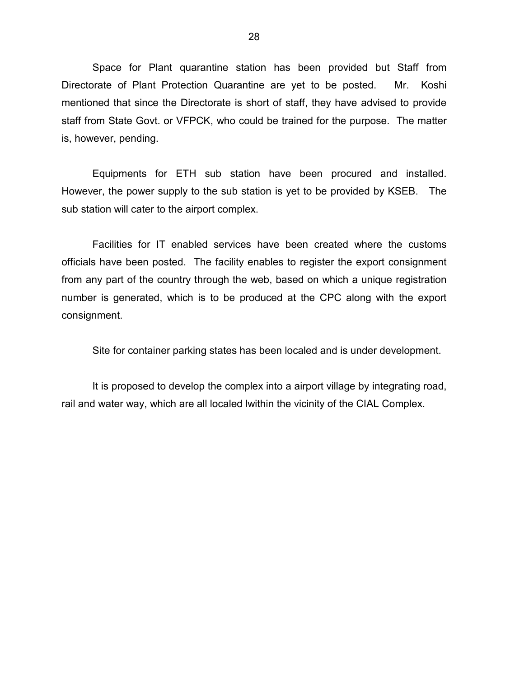Space for Plant quarantine station has been provided but Staff from Directorate of Plant Protection Quarantine are yet to be posted. Mr. Koshi mentioned that since the Directorate is short of staff, they have advised to provide staff from State Govt. or VFPCK, who could be trained for the purpose. The matter is, however, pending.

 Equipments for ETH sub station have been procured and installed. However, the power supply to the sub station is yet to be provided by KSEB. The sub station will cater to the airport complex.

 Facilities for IT enabled services have been created where the customs officials have been posted. The facility enables to register the export consignment from any part of the country through the web, based on which a unique registration number is generated, which is to be produced at the CPC along with the export consignment.

Site for container parking states has been localed and is under development.

 It is proposed to develop the complex into a airport village by integrating road, rail and water way, which are all localed lwithin the vicinity of the CIAL Complex.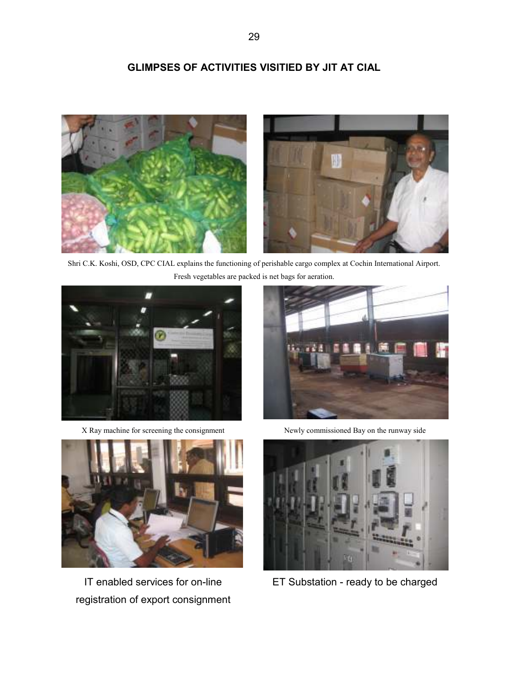# GLIMPSES OF ACTIVITIES VISITIED BY JIT AT CIAL



Shri C.K. Koshi, OSD, CPC CIAL explains the functioning of perishable cargo complex at Cochin International Airport. Fresh vegetables are packed is net bags for aeration.



X Ray machine for screening the consignment Newly commissioned Bay on the runway side



IT enabled services for on-line registration of export consignment





ET Substation - ready to be charged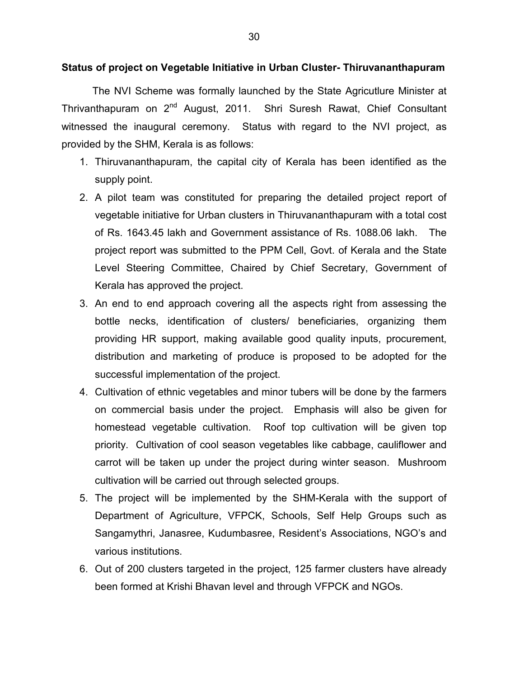#### Status of project on Vegetable Initiative in Urban Cluster- Thiruvananthapuram

 The NVI Scheme was formally launched by the State Agricutlure Minister at Thrivanthapuram on 2<sup>nd</sup> August, 2011. Shri Suresh Rawat, Chief Consultant witnessed the inaugural ceremony. Status with regard to the NVI project, as provided by the SHM, Kerala is as follows:

- 1. Thiruvananthapuram, the capital city of Kerala has been identified as the supply point.
- 2. A pilot team was constituted for preparing the detailed project report of vegetable initiative for Urban clusters in Thiruvananthapuram with a total cost of Rs. 1643.45 lakh and Government assistance of Rs. 1088.06 lakh. The project report was submitted to the PPM Cell, Govt. of Kerala and the State Level Steering Committee, Chaired by Chief Secretary, Government of Kerala has approved the project.
- 3. An end to end approach covering all the aspects right from assessing the bottle necks, identification of clusters/ beneficiaries, organizing them providing HR support, making available good quality inputs, procurement, distribution and marketing of produce is proposed to be adopted for the successful implementation of the project.
- 4. Cultivation of ethnic vegetables and minor tubers will be done by the farmers on commercial basis under the project. Emphasis will also be given for homestead vegetable cultivation. Roof top cultivation will be given top priority. Cultivation of cool season vegetables like cabbage, cauliflower and carrot will be taken up under the project during winter season. Mushroom cultivation will be carried out through selected groups.
- 5. The project will be implemented by the SHM-Kerala with the support of Department of Agriculture, VFPCK, Schools, Self Help Groups such as Sangamythri, Janasree, Kudumbasree, Resident's Associations, NGO's and various institutions.
- 6. Out of 200 clusters targeted in the project, 125 farmer clusters have already been formed at Krishi Bhavan level and through VFPCK and NGOs.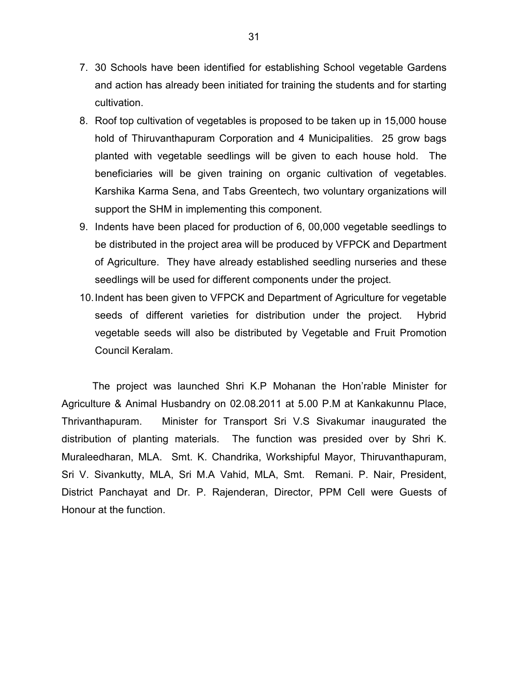- 7. 30 Schools have been identified for establishing School vegetable Gardens and action has already been initiated for training the students and for starting cultivation.
- 8. Roof top cultivation of vegetables is proposed to be taken up in 15,000 house hold of Thiruvanthapuram Corporation and 4 Municipalities. 25 grow bags planted with vegetable seedlings will be given to each house hold. The beneficiaries will be given training on organic cultivation of vegetables. Karshika Karma Sena, and Tabs Greentech, two voluntary organizations will support the SHM in implementing this component.
- 9. Indents have been placed for production of 6, 00,000 vegetable seedlings to be distributed in the project area will be produced by VFPCK and Department of Agriculture. They have already established seedling nurseries and these seedlings will be used for different components under the project.
- 10. Indent has been given to VFPCK and Department of Agriculture for vegetable seeds of different varieties for distribution under the project. Hybrid vegetable seeds will also be distributed by Vegetable and Fruit Promotion Council Keralam.

 The project was launched Shri K.P Mohanan the Hon'rable Minister for Agriculture & Animal Husbandry on 02.08.2011 at 5.00 P.M at Kankakunnu Place, Thrivanthapuram. Minister for Transport Sri V.S Sivakumar inaugurated the distribution of planting materials. The function was presided over by Shri K. Muraleedharan, MLA. Smt. K. Chandrika, Workshipful Mayor, Thiruvanthapuram, Sri V. Sivankutty, MLA, Sri M.A Vahid, MLA, Smt. Remani. P. Nair, President, District Panchayat and Dr. P. Rajenderan, Director, PPM Cell were Guests of Honour at the function.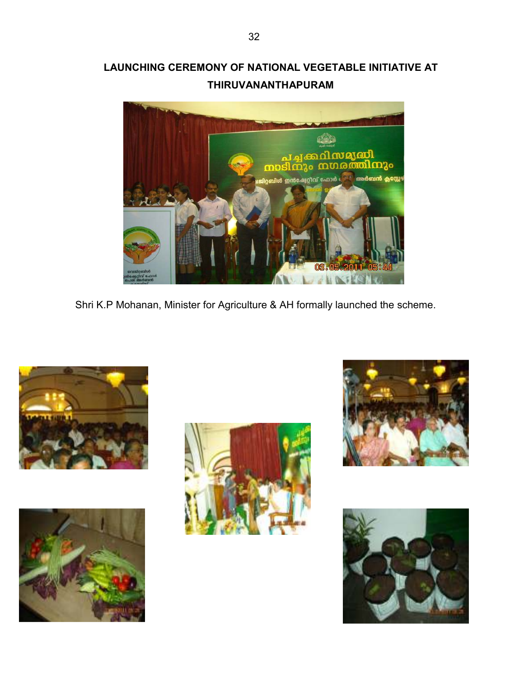# LAUNCHING CEREMONY OF NATIONAL VEGETABLE INITIATIVE AT THIRUVANANTHAPURAM



Shri K.P Mohanan, Minister for Agriculture & AH formally launched the scheme.









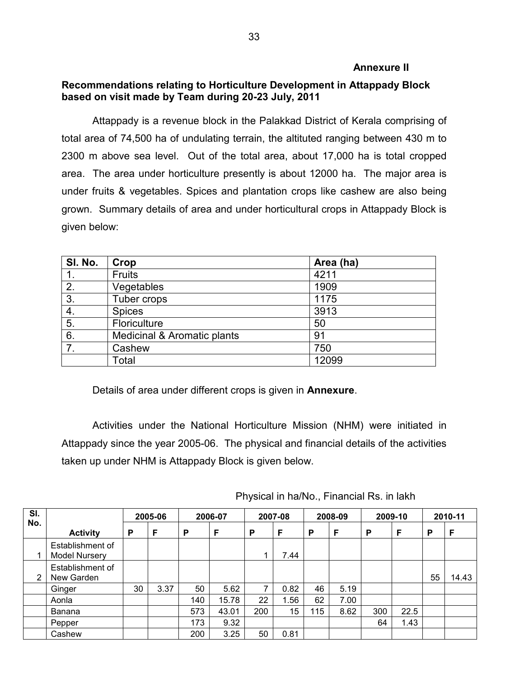### Annexure II

## Recommendations relating to Horticulture Development in Attappady Block based on visit made by Team during 20-23 July, 2011

Attappady is a revenue block in the Palakkad District of Kerala comprising of total area of 74,500 ha of undulating terrain, the altituted ranging between 430 m to 2300 m above sea level. Out of the total area, about 17,000 ha is total cropped area. The area under horticulture presently is about 12000 ha. The major area is under fruits & vegetables. Spices and plantation crops like cashew are also being grown. Summary details of area and under horticultural crops in Attappady Block is given below:

| SI. No. | Crop                        | Area (ha) |
|---------|-----------------------------|-----------|
|         | <b>Fruits</b>               | 4211      |
| 2.      | Vegetables                  | 1909      |
| 3.      | Tuber crops                 | 1175      |
| 4.      | <b>Spices</b>               | 3913      |
| 5.      | Floriculture                | 50        |
| 6.      | Medicinal & Aromatic plants | 91        |
| 7.      | Cashew                      | 750       |
|         | Total                       | 12099     |

Details of area under different crops is given in **Annexure**.

 Activities under the National Horticulture Mission (NHM) were initiated in Attappady since the year 2005-06. The physical and financial details of the activities taken up under NHM is Attappady Block is given below.

| SI.<br>No. |                                   | 2005-06 |      | 2006-07 |       | 2007-08 |      | 2008-09 |      | 2009-10 |      | 2010-11 |       |
|------------|-----------------------------------|---------|------|---------|-------|---------|------|---------|------|---------|------|---------|-------|
|            | <b>Activity</b>                   | P       | F    | P       | F     | P       | F    | P       | F    | P       | F    | Р       | F     |
|            | Establishment of<br>Model Nursery |         |      |         |       | 1       | 7.44 |         |      |         |      |         |       |
| 2          | Establishment of<br>New Garden    |         |      |         |       |         |      |         |      |         |      | 55      | 14.43 |
|            | Ginger                            | 30      | 3.37 | 50      | 5.62  | 7       | 0.82 | 46      | 5.19 |         |      |         |       |
|            | Aonla                             |         |      | 140     | 15.78 | 22      | 1.56 | 62      | 7.00 |         |      |         |       |
|            | Banana                            |         |      | 573     | 43.01 | 200     | 15   | 115     | 8.62 | 300     | 22.5 |         |       |
|            | Pepper                            |         |      | 173     | 9.32  |         |      |         |      | 64      | 1.43 |         |       |
|            | Cashew                            |         |      | 200     | 3.25  | 50      | 0.81 |         |      |         |      |         |       |

Physical in ha/No., Financial Rs. in lakh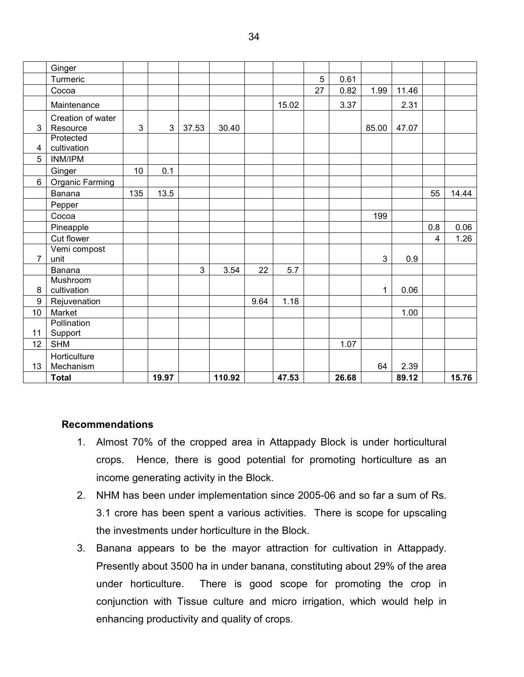|                | Ginger                        |              |       |                |        |      |       |    |       |       |       |     |       |
|----------------|-------------------------------|--------------|-------|----------------|--------|------|-------|----|-------|-------|-------|-----|-------|
|                | Turmeric                      |              |       |                |        |      |       | 5  | 0.61  |       |       |     |       |
|                | Cocoa                         |              |       |                |        |      |       | 27 | 0.82  | 1.99  | 11.46 |     |       |
|                | Maintenance                   |              |       |                |        |      | 15.02 |    | 3.37  |       | 2.31  |     |       |
|                |                               |              |       |                |        |      |       |    |       |       |       |     |       |
| 3              | Creation of water<br>Resource | $\mathbf{3}$ | 3     | 37.53          | 30.40  |      |       |    |       | 85.00 | 47.07 |     |       |
|                | Protected                     |              |       |                |        |      |       |    |       |       |       |     |       |
| 4              | cultivation                   |              |       |                |        |      |       |    |       |       |       |     |       |
| 5              | <b>INM/IPM</b>                |              |       |                |        |      |       |    |       |       |       |     |       |
|                | Ginger                        | 10           | 0.1   |                |        |      |       |    |       |       |       |     |       |
| 6              | Organic Farming               |              |       |                |        |      |       |    |       |       |       |     |       |
|                | Banana                        | 135          | 13.5  |                |        |      |       |    |       |       |       | 55  | 14.44 |
|                | Pepper                        |              |       |                |        |      |       |    |       |       |       |     |       |
|                | Cocoa                         |              |       |                |        |      |       |    |       | 199   |       |     |       |
|                | Pineapple                     |              |       |                |        |      |       |    |       |       |       | 0.8 | 0.06  |
|                | Cut flower                    |              |       |                |        |      |       |    |       |       |       | 4   | 1.26  |
|                | Vemi compost                  |              |       |                |        |      |       |    |       |       |       |     |       |
| $\overline{7}$ | unit                          |              |       |                |        |      |       |    |       | 3     | 0.9   |     |       |
|                | Banana                        |              |       | $\overline{3}$ | 3.54   | 22   | 5.7   |    |       |       |       |     |       |
|                | Mushroom                      |              |       |                |        |      |       |    |       |       |       |     |       |
| 8              | cultivation                   |              |       |                |        |      |       |    |       | 1     | 0.06  |     |       |
| 9<br>10        | Rejuvenation<br>Market        |              |       |                |        | 9.64 | 1.18  |    |       |       |       |     |       |
|                | Pollination                   |              |       |                |        |      |       |    |       |       | 1.00  |     |       |
| 11             | Support                       |              |       |                |        |      |       |    |       |       |       |     |       |
| 12             | <b>SHM</b>                    |              |       |                |        |      |       |    | 1.07  |       |       |     |       |
|                | Horticulture                  |              |       |                |        |      |       |    |       |       |       |     |       |
| 13             | Mechanism                     |              |       |                |        |      |       |    |       | 64    | 2.39  |     |       |
|                | <b>Total</b>                  |              | 19.97 |                | 110.92 |      | 47.53 |    | 26.68 |       | 89.12 |     | 15.76 |

### Recommendations

- 1. Almost 70% of the cropped area in Attappady Block is under horticultural crops. Hence, there is good potential for promoting horticulture as an income generating activity in the Block.
- 2. NHM has been under implementation since 2005-06 and so far a sum of Rs. 3.1 crore has been spent a various activities. There is scope for upscaling the investments under horticulture in the Block.
- 3. Banana appears to be the mayor attraction for cultivation in Attappady. Presently about 3500 ha in under banana, constituting about 29% of the area under horticulture. There is good scope for promoting the crop in conjunction with Tissue culture and micro irrigation, which would help in enhancing productivity and quality of crops.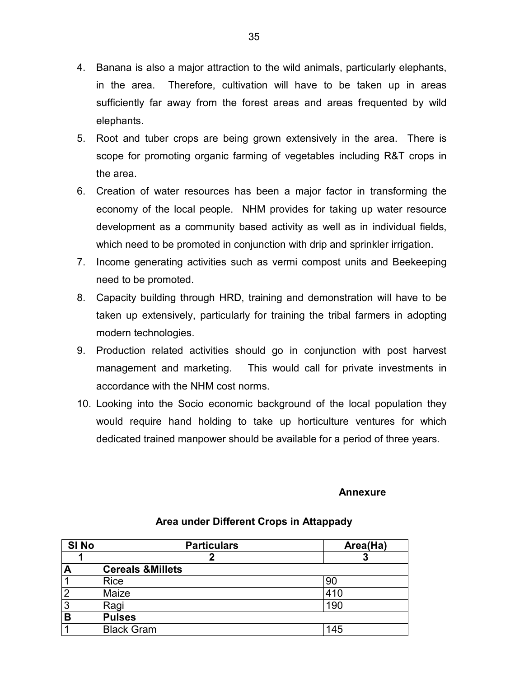- 4. Banana is also a major attraction to the wild animals, particularly elephants, in the area. Therefore, cultivation will have to be taken up in areas sufficiently far away from the forest areas and areas frequented by wild elephants.
- 5. Root and tuber crops are being grown extensively in the area. There is scope for promoting organic farming of vegetables including R&T crops in the area.
- 6. Creation of water resources has been a major factor in transforming the economy of the local people. NHM provides for taking up water resource development as a community based activity as well as in individual fields, which need to be promoted in conjunction with drip and sprinkler irrigation.
- 7. Income generating activities such as vermi compost units and Beekeeping need to be promoted.
- 8. Capacity building through HRD, training and demonstration will have to be taken up extensively, particularly for training the tribal farmers in adopting modern technologies.
- 9. Production related activities should go in conjunction with post harvest management and marketing. This would call for private investments in accordance with the NHM cost norms.
- 10. Looking into the Socio economic background of the local population they would require hand holding to take up horticulture ventures for which dedicated trained manpower should be available for a period of three years.

### Annexure

| SI <sub>No</sub>        | <b>Particulars</b>           | Area(Ha) |
|-------------------------|------------------------------|----------|
|                         |                              |          |
| $\overline{\mathsf{A}}$ | <b>Cereals &amp; Millets</b> |          |
| 1                       | <b>Rice</b>                  | 90       |
| $\overline{2}$          | Maize                        | 410      |
| 3                       | Ragi                         | 190      |
| B                       | <b>Pulses</b>                |          |
| 4                       | <b>Black Gram</b>            | 145      |

### Area under Different Crops in Attappady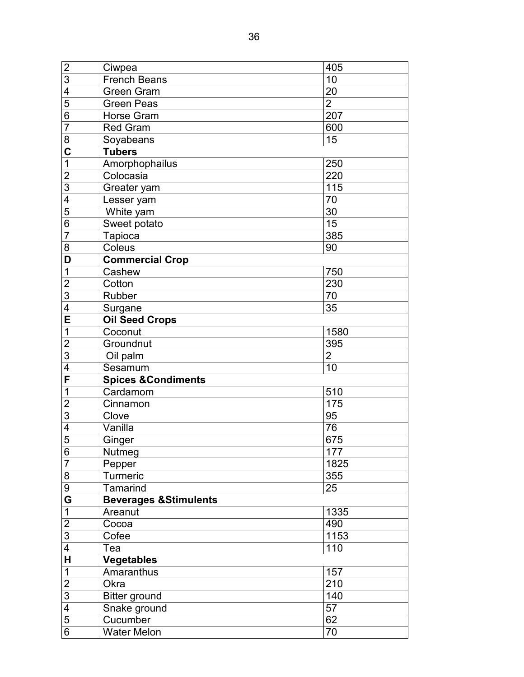| $\overline{2}$          | Ciwpea                           | 405            |
|-------------------------|----------------------------------|----------------|
| 3                       | French Beans                     | 10             |
| 4                       | Green Gram                       | 20             |
| 5                       | <b>Green Peas</b>                | $\overline{2}$ |
| $\overline{6}$          | Horse Gram                       | 207            |
| $\overline{7}$          | <b>Red Gram</b>                  | 600            |
| 8                       | Soyabeans                        | 15             |
| $\overline{\textbf{c}}$ | <b>Tubers</b>                    |                |
| 1                       | Amorphophailus                   | 250            |
| $\overline{c}$          | Colocasia                        | 220            |
| $\overline{3}$          | Greater yam                      | 115            |
| 4                       | Lesser yam                       | 70             |
| 5                       | White yam                        | 30             |
| 6                       | Sweet potato                     | 15             |
| $\overline{7}$          | <b>Tapioca</b>                   | 385            |
| 8                       | Coleus                           | 90             |
| D                       | <b>Commercial Crop</b>           |                |
| 1                       | Cashew                           | 750            |
| $\overline{c}$          | Cotton                           | 230            |
| 3                       | Rubber                           | 70             |
| 4                       | Surgane                          | 35             |
| E                       | <b>Oil Seed Crops</b>            |                |
| 1                       | Coconut                          | 1580           |
| $\overline{c}$          | Groundnut                        | 395            |
| $\overline{3}$          | $\overline{O}$ il palm           | $\overline{2}$ |
| 4                       | Sesamum                          | 10             |
| F                       | <b>Spices &amp; Condiments</b>   |                |
| 1                       | Cardamom                         | 510            |
| $\overline{2}$          | Cinnamon                         | 175            |
| 3                       | Clove                            | 95             |
| 4                       | Vanilla                          | 76             |
| 5                       | Ginger                           | 675            |
| 6                       | Nutmeg                           | 177            |
| 7                       | Pepper                           | 1825           |
| 8                       | Turmeric                         | 355            |
| 9                       | Tamarind                         | 25             |
| G                       | <b>Beverages &amp;Stimulents</b> |                |
| $\mathbf 1$             | Areanut                          | 1335           |
| $\overline{2}$          | Cocoa                            | 490            |
| $\overline{3}$          | Cofee                            | 1153           |
| 4                       | Tea                              | 110            |
| $\overline{\mathbf{H}}$ | <b>Vegetables</b>                |                |
| 1                       | Amaranthus                       | 157            |
| $\overline{2}$          | Okra                             | 210            |
| 3                       | <b>Bitter ground</b>             | 140            |
| 4                       | Snake ground                     | 57             |
| $\overline{5}$          | Cucumber                         | 62             |
| 6                       | <b>Water Melon</b>               | 70             |